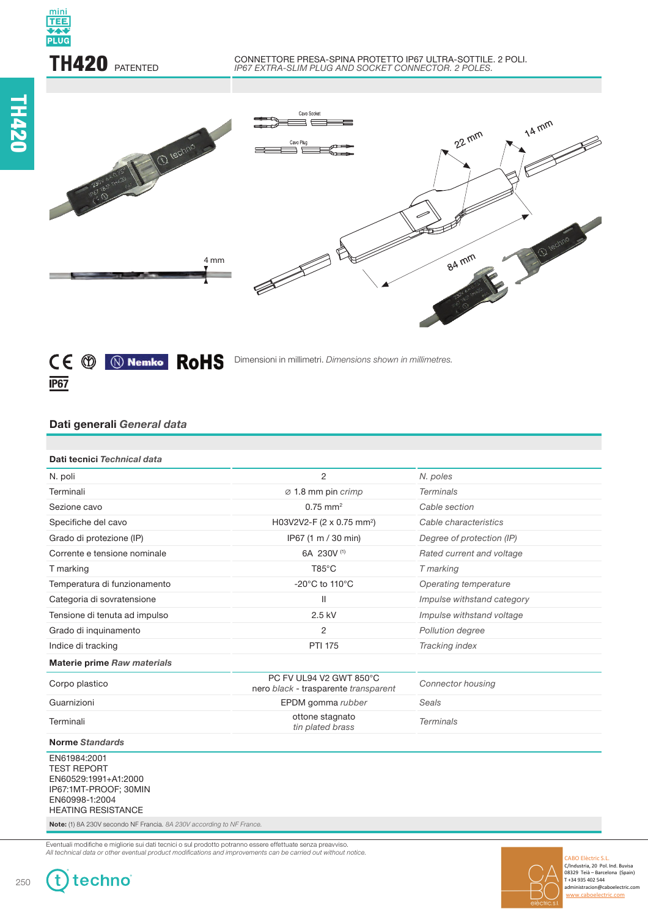

#### CONNETTORE PRESA-SPINA PROTETTO IP67 ULTRA-SOTTILE. 2 POLI. *IP67 EXTRA-SLIM PLUG AND SOCKET CONNECTOR. 2 POLES.*





Dimensioni in millimetri. *Dimensions shown in millimetres.*

# **Dati generali** *General data*

| Dati tecnici Technical data                                                                                                        |                                                                 |                            |
|------------------------------------------------------------------------------------------------------------------------------------|-----------------------------------------------------------------|----------------------------|
| N. poli                                                                                                                            | 2                                                               | N. poles                   |
| Terminali                                                                                                                          | $\varnothing$ 1.8 mm pin crimp                                  | <b>Terminals</b>           |
| Sezione cavo                                                                                                                       | $0.75$ mm <sup>2</sup>                                          | Cable section              |
| Specifiche del cavo                                                                                                                | H03V2V2-F (2 x 0.75 mm <sup>2</sup> )                           | Cable characteristics      |
| Grado di protezione (IP)                                                                                                           | IP67 (1 m / 30 min)                                             | Degree of protection (IP)  |
| Corrente e tensione nominale                                                                                                       | 6A 230V (1)                                                     | Rated current and voltage  |
| T marking                                                                                                                          | $T85^{\circ}$ C                                                 | T marking                  |
| Temperatura di funzionamento                                                                                                       | -20°C to 110°C                                                  | Operating temperature      |
| Categoria di sovratensione                                                                                                         | $\mathsf{II}$                                                   | Impulse withstand category |
| Tensione di tenuta ad impulso                                                                                                      | $2.5$ kV                                                        | Impulse withstand voltage  |
| Grado di inquinamento                                                                                                              | 2                                                               | Pollution degree           |
| Indice di tracking                                                                                                                 | <b>PTI 175</b>                                                  | Tracking index             |
| <b>Materie prime Raw materials</b>                                                                                                 |                                                                 |                            |
| Corpo plastico                                                                                                                     | PC FV UL94 V2 GWT 850°C<br>nero black - trasparente transparent | <b>Connector housing</b>   |
| Guarnizioni                                                                                                                        | EPDM gomma rubber                                               | Seals                      |
| Terminali                                                                                                                          | ottone stagnato<br>tin plated brass                             | <b>Terminals</b>           |
| <b>Norme Standards</b>                                                                                                             |                                                                 |                            |
| EN61984:2001<br><b>TEST REPORT</b><br>EN60529:1991+A1:2000<br>IP67:1MT-PROOF; 30MIN<br>EN60998-1:2004<br><b>HEATING RESISTANCE</b> |                                                                 |                            |

**Note:** (1) 8A 230V secondo NF Francia*. 8A 230V according to NF France.*

Eventuali modifiche e migliorie sui dati tecnici o sul prodotto potranno essere effettuate senza preavviso. Luccian modifications of mighters can dark toomer of an product portains essent emergency constants comes.<br>All technical data or other eventual product modifications and improvements can be carried out without notice.



w.caboelectric.com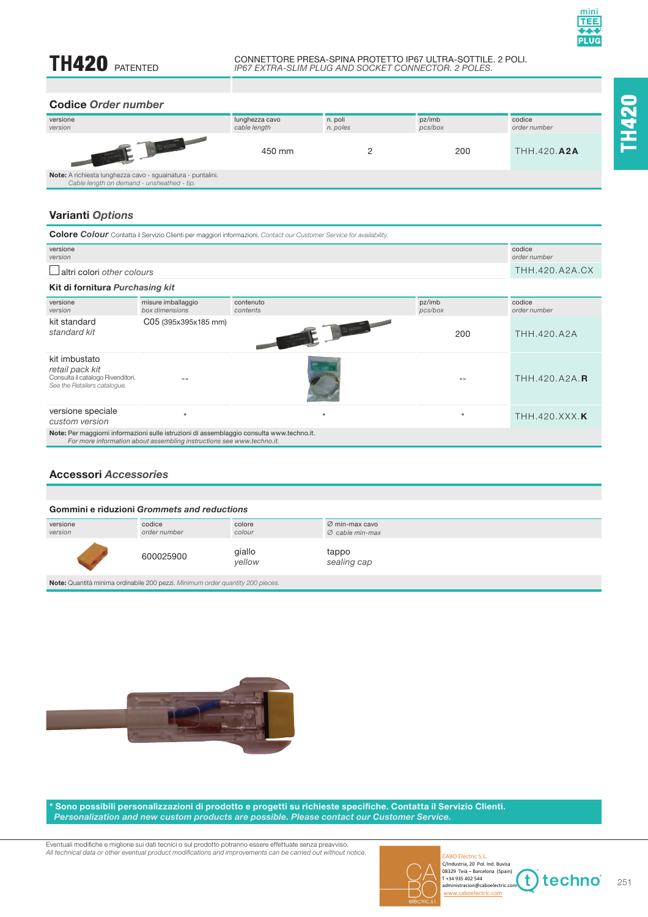**TH**420

# **TH420 PATENTED**

#### CONNETTORE PRESA-SPINA PROTETTO IP67 ULTRA-SOTTILE. 2 POLI. *IP67 EXTRA-SLIM PLUG AND SOCKET CONNECTOR. 2 POLES.*

## **Codice** *Order number*

| versione<br>version                                                                                       | lunghezza cavo<br>cable length | n. poli<br>n. poles | pz/imb<br>pcs/box | codice<br>order number |
|-----------------------------------------------------------------------------------------------------------|--------------------------------|---------------------|-------------------|------------------------|
|                                                                                                           | 450 mm                         |                     | 200               | <b>THH.420.A2A</b>     |
| Note: A richiesta lunghezza cavo - sguainatura - puntalini.<br>Cable length on demand - unsheathed - tip. |                                |                     |                   |                        |

# **Varianti** *Options*

| <b>Colore Colour</b> Contatta il Servizio Clienti per maggiori informazioni. Contact our Customer Service for availability.                                        |                                      |                                    |                   |                        |
|--------------------------------------------------------------------------------------------------------------------------------------------------------------------|--------------------------------------|------------------------------------|-------------------|------------------------|
| versione<br>version                                                                                                                                                |                                      |                                    |                   | codice<br>order number |
| altri colori other colours                                                                                                                                         |                                      |                                    |                   | THH.420.A2A.CX         |
| Kit di fornitura Purchasing kit                                                                                                                                    |                                      |                                    |                   |                        |
| versione<br>version                                                                                                                                                | misure imballaggio<br>box dimensions | contenuto<br>contents              | pz/imb<br>pcs/box | codice<br>order number |
| kit standard<br>standard kit                                                                                                                                       | C05 (395x395x185 mm)                 | Communication of the Communication | 200               | THH.420.A2A            |
| kit imbustato<br>retail pack kit<br>Consulta il catalogo Rivenditori.<br>See the Retailers catalogue.                                                              |                                      |                                    |                   | THH.420.A2A.R          |
| versione speciale<br>custom version                                                                                                                                | $\star$                              | $\star$                            | $\star$           | THH.420.XXX.K          |
| Note: Per maggiorni informazioni sulle istruzioni di assemblaggio consulta www.techno.it.<br>For more information about assembling instructions see www.techno.it. |                                      |                                    |                   |                        |

# **Accessori** *Accessories*

| <b>Gommini e riduzioni Grommets and reductions</b> |                        |                  |                                                           |
|----------------------------------------------------|------------------------|------------------|-----------------------------------------------------------|
| versione<br>version                                | codice<br>order number | colore<br>colour | $\varnothing$ min-max cavo<br>$\varnothing$ cable min-max |
|                                                    | 600025900              | giallo<br>vellow | tappo<br>sealing cap                                      |

**Note:** Quantità minima ordinabile 200 pezzi. Minimum order quantity 200 pieces.



Sono possibili personalizzazioni di prodotto e progetti su richieste specifiche. Contatta il Servizio Clienti.  *Personalization and new custom products are possible. Please contact our Customer Service.*

Eventuali modifiche e migliorie sui dati tecnici o sul prodotto potranno essere effettuate senza preavviso. Luccian modifications of mighters can dark technic of car product portaining essent of methods of the product that is a set of the reventual product modifications and improvements can be carried out without notice.



CABO Elèctric S.L. C/Industria, 20 Pol. Ind. Buvisa<br>
08329 Teià – Barcelona (Spain)<br>
T +34 935 402 544 t techno administracion@caboelectric.com www.caboelectric.com

251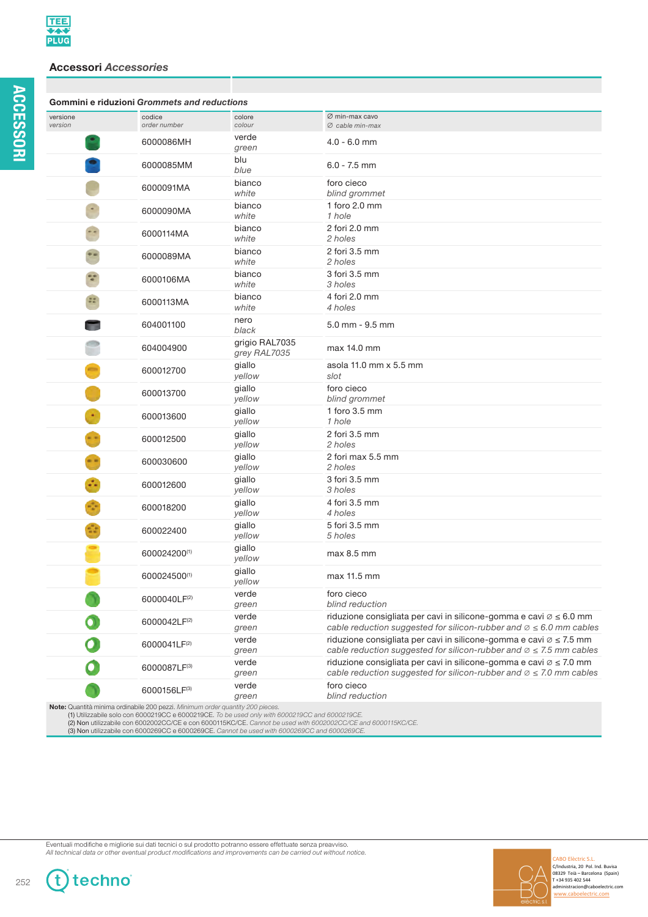**ACCESSORI**

**ACCESSORI** 

## **Accessori** *Accessories*

| Gommini e riduzioni Grommets and reductions |                                                                                                                                                                                  |                                |                                                                                                                                                                      |
|---------------------------------------------|----------------------------------------------------------------------------------------------------------------------------------------------------------------------------------|--------------------------------|----------------------------------------------------------------------------------------------------------------------------------------------------------------------|
| versione<br>version                         | codice<br>order number                                                                                                                                                           | colore<br>colour               | Ø min-max cavo<br>Ø cable min-max                                                                                                                                    |
|                                             | 6000086MH                                                                                                                                                                        | verde<br>green                 | $4.0 - 6.0$ mm                                                                                                                                                       |
|                                             | 6000085MM                                                                                                                                                                        | blu<br>blue                    | $6.0 - 7.5$ mm                                                                                                                                                       |
|                                             | 6000091MA                                                                                                                                                                        | bianco<br>white                | foro cieco<br>blind grommet                                                                                                                                          |
|                                             | 6000090MA                                                                                                                                                                        | bianco<br>white                | 1 foro 2.0 mm<br>1 hole                                                                                                                                              |
|                                             | 6000114MA                                                                                                                                                                        | bianco<br>white                | 2 fori 2.0 mm<br>2 holes                                                                                                                                             |
|                                             | 6000089MA                                                                                                                                                                        | bianco<br>white                | 2 fori 3.5 mm<br>2 holes                                                                                                                                             |
|                                             | 6000106MA                                                                                                                                                                        | bianco<br>white                | 3 fori 3.5 mm<br>3 holes                                                                                                                                             |
| 55                                          | 6000113MA                                                                                                                                                                        | bianco<br>white                | 4 fori 2.0 mm<br>4 holes                                                                                                                                             |
|                                             | 604001100                                                                                                                                                                        | nero<br>black                  | $5.0$ mm - $9.5$ mm                                                                                                                                                  |
|                                             | 604004900                                                                                                                                                                        | grigio RAL7035<br>grey RAL7035 | max 14.0 mm                                                                                                                                                          |
|                                             | 600012700                                                                                                                                                                        | giallo<br>yellow               | asola 11.0 mm x 5.5 mm<br>slot                                                                                                                                       |
|                                             | 600013700                                                                                                                                                                        | giallo<br>yellow               | foro cieco<br>blind grommet                                                                                                                                          |
|                                             | 600013600                                                                                                                                                                        | giallo<br>yellow               | 1 foro 3.5 mm<br>1 hole                                                                                                                                              |
|                                             | 600012500                                                                                                                                                                        | giallo<br>yellow               | 2 fori 3.5 mm<br>2 holes                                                                                                                                             |
|                                             | 600030600                                                                                                                                                                        | giallo<br>yellow               | 2 fori max 5.5 mm<br>2 holes                                                                                                                                         |
|                                             | 600012600                                                                                                                                                                        | giallo<br>yellow               | 3 fori 3.5 mm<br>3 holes                                                                                                                                             |
|                                             | 600018200                                                                                                                                                                        | giallo<br>yellow               | 4 fori 3.5 mm<br>4 holes                                                                                                                                             |
|                                             | 600022400                                                                                                                                                                        | giallo<br>yellow               | 5 fori 3.5 mm<br>5 holes                                                                                                                                             |
|                                             | 600024200(1)                                                                                                                                                                     | giallo<br>yellow               | max 8.5 mm                                                                                                                                                           |
|                                             | 600024500(1)                                                                                                                                                                     | giallo<br>yellow               | max 11.5 mm                                                                                                                                                          |
|                                             | 6000040LF <sup>(2)</sup>                                                                                                                                                         | verde<br>green                 | foro cieco<br>blind reduction                                                                                                                                        |
|                                             | 6000042LF(2)                                                                                                                                                                     | verde<br>green                 | riduzione consigliata per cavi in silicone-gomma e cavi $\emptyset \leq 6.0$ mm<br>cable reduction suggested for silicon-rubber and $\emptyset \leq 6.0$ mm cables   |
|                                             | 6000041LF(2)                                                                                                                                                                     | verde<br>green                 | riduzione consigliata per cavi in silicone-gomma e cavi $\varnothing \leq 7.5$ mm<br>cable reduction suggested for silicon-rubber and $\emptyset \leq 7.5$ mm cables |
|                                             | 6000087LF(3)                                                                                                                                                                     | verde<br>green                 | riduzione consigliata per cavi in silicone-gomma e cavi $\emptyset \leq 7.0$ mm<br>cable reduction suggested for silicon-rubber and $\emptyset \leq 7.0$ mm cables   |
|                                             | 6000156LF(3)                                                                                                                                                                     | verde<br>green                 | foro cieco<br>blind reduction                                                                                                                                        |
|                                             | Note: Quantità minima ordinabile 200 pezzi. Minimum order quantity 200 pieces.<br>(1) Utilizzabile solo con 6000219CC e 6000219CE. To be used only with 6000219CC and 6000219CE. |                                |                                                                                                                                                                      |

(1) Utilizzabile solo con 6000219CC e 6000219CE. *To be used only with 6000219CC and 6000219CE.*<br>(**2) Non** utilizzabile con 6002002CC/CE e con 6000115KC/CE. Cannot be used with 6002002CC/CE and 6000115KC/CE.<br>(**3) Non** util

Eventuali modifiche e migliorie sui dati tecnici o sul prodotto potranno essere effettuate senza preavviso.<br>All technical data or other eventual product modifications and improvements can be carried out without notice.



L

252

**f** 

techno®